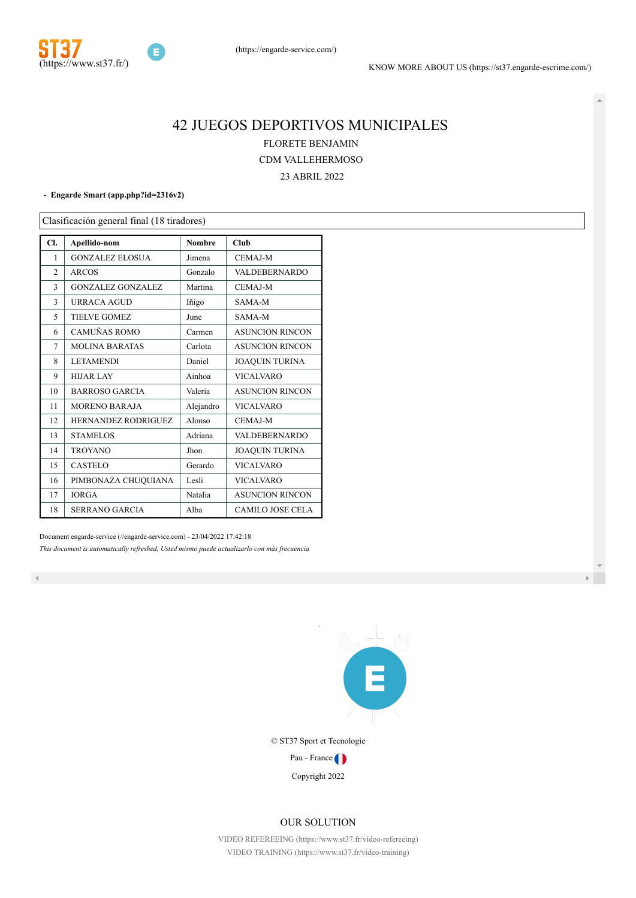

# 42 JUEGOS DEPORTIVOS MUNICIPALES FLORETE BENJAMIN CDM VALLEHERMOSO

23 ABRIL 2022

**- Engarde Smart [\(app.php?id=2316v2\)](http://www.engarde-service.com/app.php?id=2316v2)**

Clasificación general final (18 tiradores)

| Cl.            | Apellido-nom               | <b>Nombre</b> | Club                    |
|----------------|----------------------------|---------------|-------------------------|
| 1              | <b>GONZALEZ ELOSUA</b>     | Jimena        | <b>CEMAJ-M</b>          |
| $\overline{2}$ | <b>ARCOS</b>               | Gonzalo       | <b>VALDEBERNARDO</b>    |
| 3              | <b>GONZALEZ GONZALEZ</b>   | Martina       | <b>CEMAJ-M</b>          |
| 3              | URRACA AGUD                | Iñigo         | SAMA-M                  |
| 5              | TIELVE GOMEZ               | June          | SAMA-M                  |
| 6              | CAMUÑAS ROMO               | Carmen        | <b>ASUNCION RINCON</b>  |
| 7              | <b>MOLINA BARATAS</b>      | Carlota       | <b>ASUNCION RINCON</b>  |
| 8              | <b>LETAMENDI</b>           | Daniel        | <b>JOAQUIN TURINA</b>   |
| 9              | <b>HIJAR LAY</b>           | Ainhoa        | <b>VICALVARO</b>        |
| 10             | <b>BARROSO GARCIA</b>      | Valeria       | <b>ASUNCION RINCON</b>  |
| 11             | <b>MORENO BARAJA</b>       | Alejandro     | <b>VICALVARO</b>        |
| 12             | <b>HERNANDEZ RODRIGUEZ</b> | Alonso        | <b>CEMAJ-M</b>          |
| 13             | <b>STAMELOS</b>            | Adriana       | VALDEBERNARDO           |
| 14             | <b>TROYANO</b>             | Jhon          | <b>JOAQUIN TURINA</b>   |
| 15             | <b>CASTELO</b>             | Gerardo       | <b>VICALVARO</b>        |
| 16             | PIMBONAZA CHUQUIANA        | Lesli         | <b>VICALVARO</b>        |
| 17             | <b>IORGA</b>               | Natalia       | <b>ASUNCION RINCON</b>  |
| 18             | <b>SERRANO GARCIA</b>      | Alba          | <b>CAMILO JOSE CELA</b> |

Document engarde-service [\(//engarde-service.com\)](http://engarde-service.com/) - 23/04/2022 17:42:18 *This document is automatically refreshed, Usted mismo puede actualizarlo con más frecuencia*



© ST37 Sport et Tecnologie

Pau - France

Copyright 2022

#### OUR SOLUTION

[VIDEO REFEREEING \(https://www.st37.fr/video-refereeing\)](https://www.st37.fr/video-refereeing) [VIDEO TRAINING \(https://www.st37.fr/video-training\)](https://www.st37.fr/video-training)